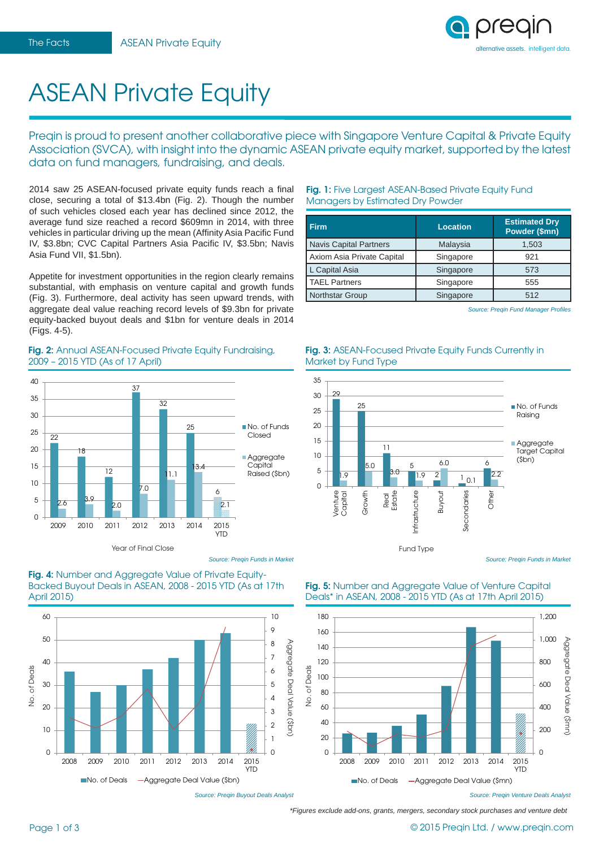

# ASEAN Private Equity

Preqin is proud to present another collaborative piece with Singapore Venture Capital & Private Equity Association (SVCA), with insight into the dynamic ASEAN private equity market, supported by the latest data on fund managers, fundraising, and deals.

2014 saw 25 ASEAN-focused private equity funds reach a final close, securing a total of \$13.4bn (Fig. 2). Though the number of such vehicles closed each year has declined since 2012, the average fund size reached a record \$609mn in 2014, with three vehicles in particular driving up the mean (Affinity Asia Pacific Fund IV, \$3.8bn; CVC Capital Partners Asia Pacific IV, \$3.5bn; Navis Asia Fund VII, \$1.5bn).

Appetite for investment opportunities in the region clearly remains substantial, with emphasis on venture capital and growth funds (Fig. 3). Furthermore, deal activity has seen upward trends, with aggregate deal value reaching record levels of \$9.3bn for private equity-backed buyout deals and \$1bn for venture deals in 2014 (Figs. 4-5).

## **Fig. 2:** Annual ASEAN-Focused Private Equity Fundraising, 2009 – 2015 YTD (As of 17 April)



**Fig. 4:** Number and Aggregate Value of Private Equity-Backed Buyout Deals in ASEAN, 2008 - 2015 YTD (As at 17th April 2015)



*Source: Preqin Buyout Deals Analyst*

*Source: Preqin Funds in Market*

## **Fig. 1:** Five Largest ASEAN-Based Private Equity Fund Managers by Estimated Dry Powder

| <b>Firm</b>                   | Location  | <b>Estimated Dry</b><br>Powder (\$mn) |
|-------------------------------|-----------|---------------------------------------|
| <b>Navis Capital Partners</b> | Malaysia  | 1,503                                 |
| Axiom Asia Private Capital    | Singapore | 921                                   |
| L Capital Asia                | Singapore | 573                                   |
| <b>TAEL Partners</b>          | Singapore | 555                                   |
| Northstar Group               | Singapore | 512                                   |

**Fig. 3: ASEAN-Focused Private Equity Funds Currently in** 

Market by Fund Type

**Source: Preqin Fund Manager Profiles** 



*Source: Preqin Funds in Market*

#### **Fig. 5:** Number and Aggregate Value of Venture Capital Deals\* in ASEAN, 2008 - 2015 YTD (As at 17th April 2015)



*\*Figures exclude add-ons, grants, mergers, secondary stock purchases and venture debt*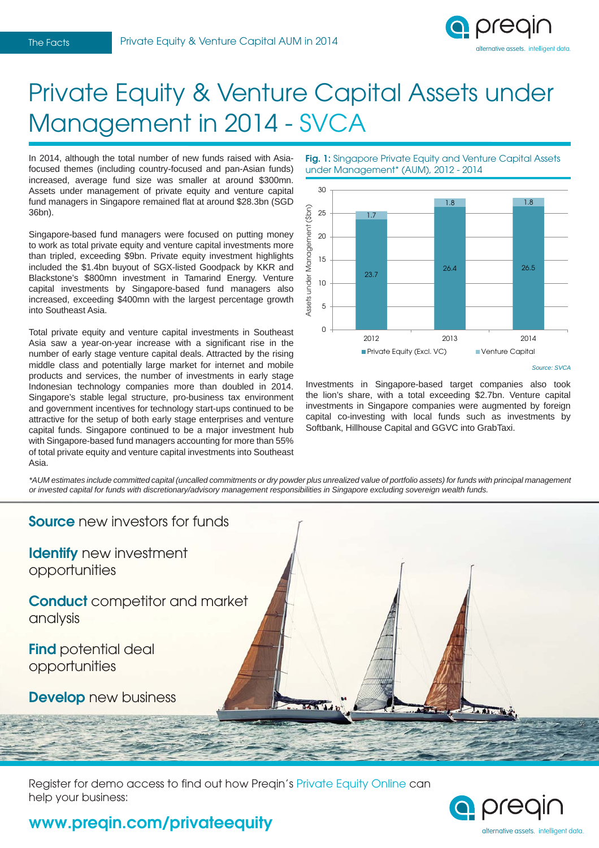

# Private Equity & Venture Capital Assets under Management in 2014 - SVCA

In 2014, although the total number of new funds raised with Asiafocused themes (including country-focused and pan-Asian funds) increased, average fund size was smaller at around \$300mn. Assets under management of private equity and venture capital fund managers in Singapore remained flat at around \$28.3bn (SGD 36bn).

Singapore-based fund managers were focused on putting money to work as total private equity and venture capital investments more than tripled, exceeding \$9bn. Private equity investment highlights included the \$1.4bn buyout of SGX-listed Goodpack by KKR and Blackstone's \$800mn investment in Tamarind Energy. Venture capital investments by Singapore-based fund managers also increased, exceeding \$400mn with the largest percentage growth into Southeast Asia.

Total private equity and venture capital investments in Southeast Asia saw a year-on-year increase with a significant rise in the number of early stage venture capital deals. Attracted by the rising middle class and potentially large market for internet and mobile products and services, the number of investments in early stage Indonesian technology companies more than doubled in 2014. Singapore's stable legal structure, pro-business tax environment and government incentives for technology start-ups continued to be attractive for the setup of both early stage enterprises and venture capital funds. Singapore continued to be a major investment hub with Singapore-based fund managers accounting for more than 55% of total private equity and venture capital investments into Southeast Asia.

Fig. 1: Singapore Private Equity and Venture Capital Assets under Management\* (AUM), 2012 - 2014



*Source: SVCA*

Investments in Singapore-based target companies also took the lion's share, with a total exceeding \$2.7bn. Venture capital investments in Singapore companies were augmented by foreign capital co-investing with local funds such as investments by Softbank, Hillhouse Capital and GGVC into GrabTaxi.

*\*AUM estimates include committed capital (uncalled commitments or dry powder plus unrealized value of portfolio assets) for funds with principal management or invested capital for funds with discretionary/advisory management responsibilities in Singapore excluding sovereign wealth funds.*



Register for demo access to find out how Preqin's Private Equity Online can help your business:



# **www.preqin.com/privateequity**